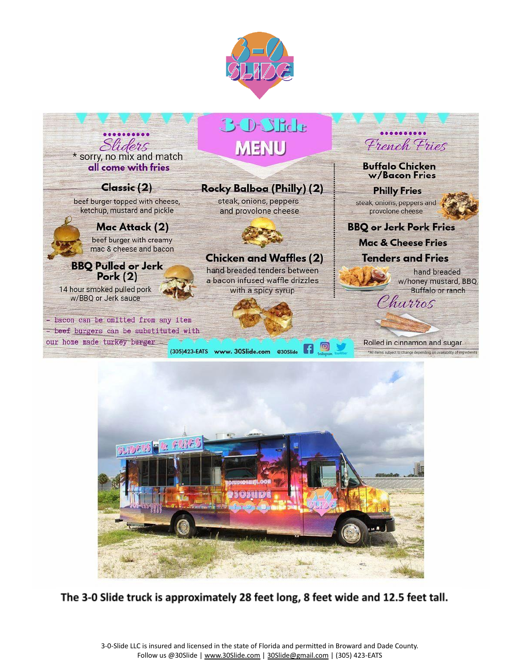





The 3-0 Slide truck is approximately 28 feet long, 8 feet wide and 12.5 feet tall.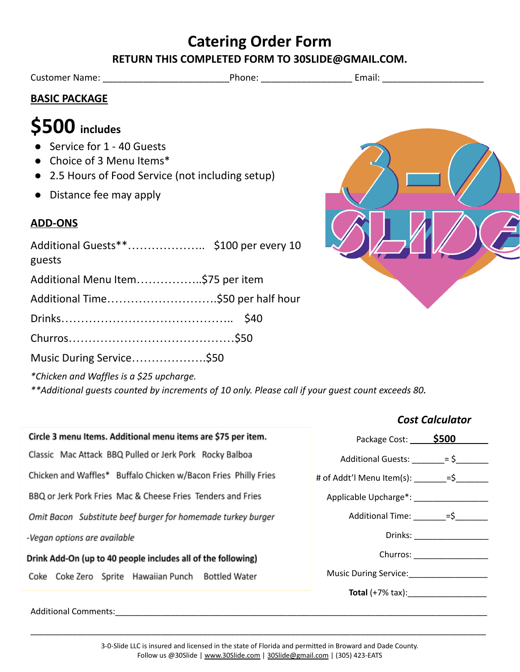## **Catering Order Form**

#### **RETURN THIS COMPLETED FORM TO 30SLIDE@GMAIL.COM.**

Customer Name: \_\_\_\_\_\_\_\_\_\_\_\_\_\_\_\_\_\_\_\_\_\_\_\_\_Phone: \_\_\_\_\_\_\_\_\_\_\_\_\_\_\_\_\_\_ Email: \_\_\_\_\_\_\_\_\_\_\_\_\_\_\_\_\_\_\_\_

#### **BASIC PACKAGE**

# **\$500 includes**

- Service for 1 40 Guests
- Choice of 3 Menu Items\*
- 2.5 Hours of Food Service (not including setup)
- Distance fee may apply

#### **ADD-ONS**

| guests                                                                                                                                                                                                                                  |  |
|-----------------------------------------------------------------------------------------------------------------------------------------------------------------------------------------------------------------------------------------|--|
| Additional Menu Item\$75 per item                                                                                                                                                                                                       |  |
| Additional Time\$50 per half hour                                                                                                                                                                                                       |  |
|                                                                                                                                                                                                                                         |  |
|                                                                                                                                                                                                                                         |  |
| Music During Service\$50                                                                                                                                                                                                                |  |
| $\mathcal{L}$ and $\mathcal{L}$ are the contract of the contract of the contract of the contract of the contract of the contract of the contract of the contract of the contract of the contract of the contract of the contract of the |  |



*\*\*Additional guests counted by increments of 10 only. Please call if your guest count exceeds 80.*

| Circle 3 menu Items. Additional menu items are \$75 per item.   | Package Cost: 5500                |                                                                                                                                                                                                                                |
|-----------------------------------------------------------------|-----------------------------------|--------------------------------------------------------------------------------------------------------------------------------------------------------------------------------------------------------------------------------|
| Classic Mac Attack BBQ Pulled or Jerk Pork Rocky Balboa         | Additional Guests: $=$ \$         |                                                                                                                                                                                                                                |
| Chicken and Waffles* Buffalo Chicken w/Bacon Fries Philly Fries | # of Addt'l Menu Item(s): $=$ =\$ |                                                                                                                                                                                                                                |
| BBQ or Jerk Pork Fries Mac & Cheese Fries Tenders and Fries     |                                   |                                                                                                                                                                                                                                |
| Omit Bacon Substitute beef burger for homemade turkey burger    | Additional Time: ________=\$      |                                                                                                                                                                                                                                |
| -Vegan options are available                                    |                                   | Drinks: the contract of the contract of the contract of the contract of the contract of the contract of the contract of the contract of the contract of the contract of the contract of the contract of the contract of the co |
| Drink Add-On (up to 40 people includes all of the following)    | Churros:                          |                                                                                                                                                                                                                                |
| Coke Coke Zero Sprite Hawaiian Punch Bottled Water              | <b>Music During Service:</b>      |                                                                                                                                                                                                                                |
|                                                                 | <b>Total</b> $(+7\%$ tax):        |                                                                                                                                                                                                                                |

Additional Comments:  $\blacksquare$ 

#### *Cost Calculator*

3-0-Slide LLC is insured and licensed in the state of Florida and permitted in Broward and Dade County. Follow us @30Slide | www.30Slide.com | 30Slide@gmail.com | (305) 423-EATS

\_\_\_\_\_\_\_\_\_\_\_\_\_\_\_\_\_\_\_\_\_\_\_\_\_\_\_\_\_\_\_\_\_\_\_\_\_\_\_\_\_\_\_\_\_\_\_\_\_\_\_\_\_\_\_\_\_\_\_\_\_\_\_\_\_\_\_\_\_\_\_\_\_\_\_\_\_\_\_\_\_\_\_\_\_\_\_\_\_\_\_\_\_\_\_\_\_\_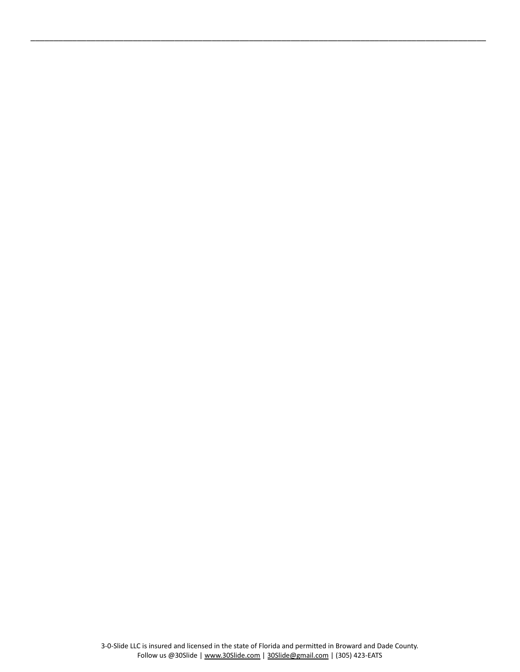3-0-Slide LLC is insured and licensed in the state of Florida and permitted in Broward and Dade County. Follow us @30Slide | www.30Slide.com | 30Slide@gmail.com | (305) 423-EATS

\_\_\_\_\_\_\_\_\_\_\_\_\_\_\_\_\_\_\_\_\_\_\_\_\_\_\_\_\_\_\_\_\_\_\_\_\_\_\_\_\_\_\_\_\_\_\_\_\_\_\_\_\_\_\_\_\_\_\_\_\_\_\_\_\_\_\_\_\_\_\_\_\_\_\_\_\_\_\_\_\_\_\_\_\_\_\_\_\_\_\_\_\_\_\_\_\_\_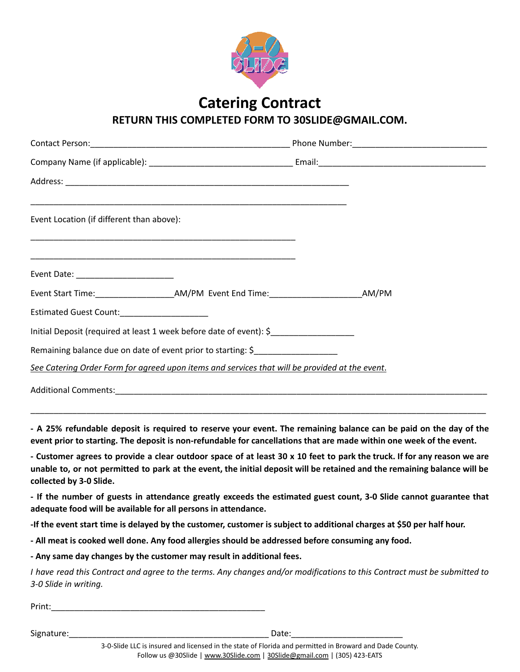

### **Catering Contract RETURN THIS COMPLETED FORM TO 30SLIDE@GMAIL.COM.**

| Event Location (if different than above):                                                                                                                        |  |  |
|------------------------------------------------------------------------------------------------------------------------------------------------------------------|--|--|
| <u> 1989 - Johann Harry Harry Harry Harry Harry Harry Harry Harry Harry Harry Harry Harry Harry Harry Harry Harry</u><br>Event Date: ___________________________ |  |  |
| Estimated Guest Count:_______________________                                                                                                                    |  |  |
| Initial Deposit (required at least 1 week before date of event): \$                                                                                              |  |  |
| Remaining balance due on date of event prior to starting: \$                                                                                                     |  |  |
| See Catering Order Form for agreed upon items and services that will be provided at the event.                                                                   |  |  |
|                                                                                                                                                                  |  |  |

- A 25% refundable deposit is required to reserve your event. The remaining balance can be paid on the day of the event prior to starting. The deposit is non-refundable for cancellations that are made within one week of the event.

\_\_\_\_\_\_\_\_\_\_\_\_\_\_\_\_\_\_\_\_\_\_\_\_\_\_\_\_\_\_\_\_\_\_\_\_\_\_\_\_\_\_\_\_\_\_\_\_\_\_\_\_\_\_\_\_\_\_\_\_\_\_\_\_\_\_\_\_\_\_\_\_\_\_\_\_\_\_\_\_\_\_\_\_\_\_\_\_\_\_\_\_\_\_\_\_\_\_

- Customer agrees to provide a clear outdoor space of at least 30 x 10 feet to park the truck. If for any reason we are unable to, or not permitted to park at the event, the initial deposit will be retained and the remaining balance will be **collected by 3-0 Slide.**

- If the number of guests in attendance greatly exceeds the estimated guest count, 3-0 Slide cannot guarantee that **adequate food will be available for all persons in attendance.**

-If the event start time is delayed by the customer, customer is subject to additional charges at \$50 per half hour.

**- All meat is cooked well done. Any food allergies should be addressed before consuming any food.**

**- Any same day changes by the customer may result in additional fees.**

I have read this Contract and agree to the terms. Any changes and/or modifications to this Contract must be submitted to *3-0 Slide in writing.*

Print:

Signature:\_\_\_\_\_\_\_\_\_\_\_\_\_\_\_\_\_\_\_\_\_\_\_\_\_\_\_\_\_\_\_\_\_\_\_\_\_\_\_\_\_\_\_ Date:\_\_\_\_\_\_\_\_\_\_\_\_\_\_\_\_\_\_\_\_\_\_\_\_

3-0-Slide LLC is insured and licensed in the state of Florida and permitted in Broward and Dade County. Follow us @30Slide | www.30Slide.com | 30Slide@gmail.com | (305) 423-EATS